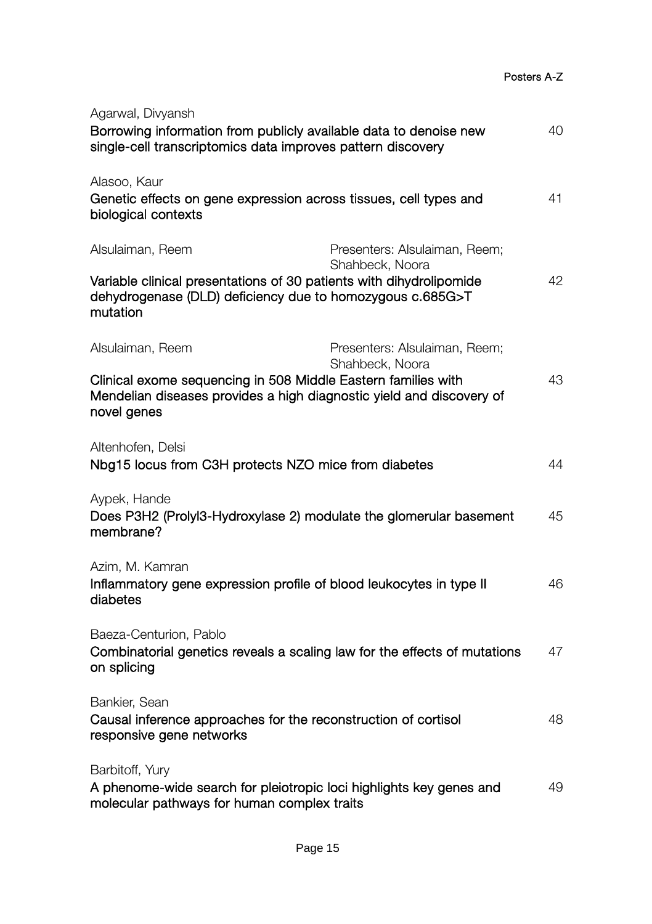| Agarwal, Divyansh<br>Borrowing information from publicly available data to denoise new<br>single-cell transcriptomics data improves pattern discovery                    |                                                  | 40 |
|--------------------------------------------------------------------------------------------------------------------------------------------------------------------------|--------------------------------------------------|----|
| Alasoo, Kaur<br>Genetic effects on gene expression across tissues, cell types and<br>biological contexts                                                                 |                                                  | 41 |
| Alsulaiman, Reem<br>Variable clinical presentations of 30 patients with dihydrolipomide<br>dehydrogenase (DLD) deficiency due to homozygous c.685G>T<br>mutation         | Presenters: Alsulaiman, Reem;<br>Shahbeck, Noora | 42 |
| Alsulaiman, Reem<br>Clinical exome sequencing in 508 Middle Eastern families with<br>Mendelian diseases provides a high diagnostic yield and discovery of<br>novel genes | Presenters: Alsulaiman, Reem;<br>Shahbeck, Noora | 43 |
| Altenhofen, Delsi<br>Nbg15 locus from C3H protects NZO mice from diabetes                                                                                                |                                                  | 44 |
| Aypek, Hande<br>Does P3H2 (Prolyl3-Hydroxylase 2) modulate the glomerular basement<br>membrane?                                                                          |                                                  | 45 |
| Azim, M. Kamran<br>Inflammatory gene expression profile of blood leukocytes in type II<br>diabetes                                                                       |                                                  | 46 |
| Baeza-Centurion, Pablo<br>Combinatorial genetics reveals a scaling law for the effects of mutations<br>on splicing                                                       |                                                  | 47 |
| Bankier, Sean<br>Causal inference approaches for the reconstruction of cortisol<br>responsive gene networks                                                              |                                                  | 48 |
| Barbitoff, Yury<br>A phenome-wide search for pleiotropic loci highlights key genes and<br>molecular pathways for human complex traits                                    |                                                  | 49 |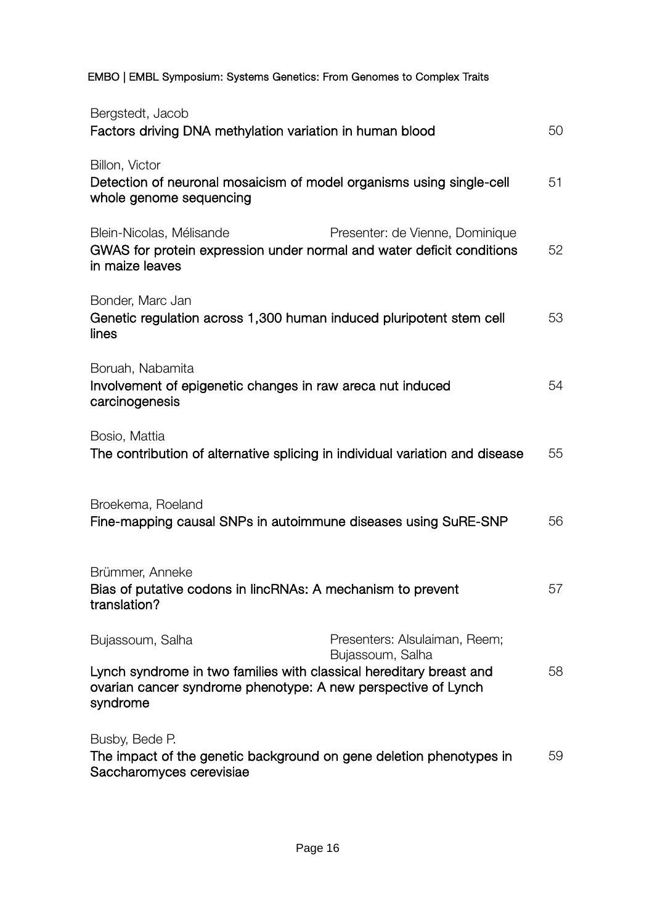EMBO | EMBL Symposium: Systems Genetics: From Genomes to Complex Traits

| Bergstedt, Jacob<br>Factors driving DNA methylation variation in human blood                                                                                         |                                                   | 50 |
|----------------------------------------------------------------------------------------------------------------------------------------------------------------------|---------------------------------------------------|----|
| Billon, Victor<br>Detection of neuronal mosaicism of model organisms using single-cell<br>whole genome sequencing                                                    |                                                   | 51 |
| Blein-Nicolas, Mélisande<br>GWAS for protein expression under normal and water deficit conditions<br>in maize leaves                                                 | Presenter: de Vienne, Dominique                   | 52 |
| Bonder, Marc Jan<br>Genetic regulation across 1,300 human induced pluripotent stem cell<br>lines                                                                     |                                                   | 53 |
| Boruah, Nabamita<br>Involvement of epigenetic changes in raw areca nut induced<br>carcinogenesis                                                                     |                                                   | 54 |
| Bosio, Mattia<br>The contribution of alternative splicing in individual variation and disease                                                                        |                                                   | 55 |
| Broekema, Roeland<br>Fine-mapping causal SNPs in autoimmune diseases using SuRE-SNP                                                                                  |                                                   | 56 |
| Brümmer, Anneke<br>Bias of putative codons in lincRNAs: A mechanism to prevent<br>translation?                                                                       |                                                   | 57 |
| Bujassoum, Salha<br>Lynch syndrome in two families with classical hereditary breast and<br>ovarian cancer syndrome phenotype: A new perspective of Lynch<br>syndrome | Presenters: Alsulaiman, Reem;<br>Bujassoum, Salha | 58 |
| Busby, Bede P.<br>The impact of the genetic background on gene deletion phenotypes in<br>Saccharomyces cerevisiae                                                    |                                                   | 59 |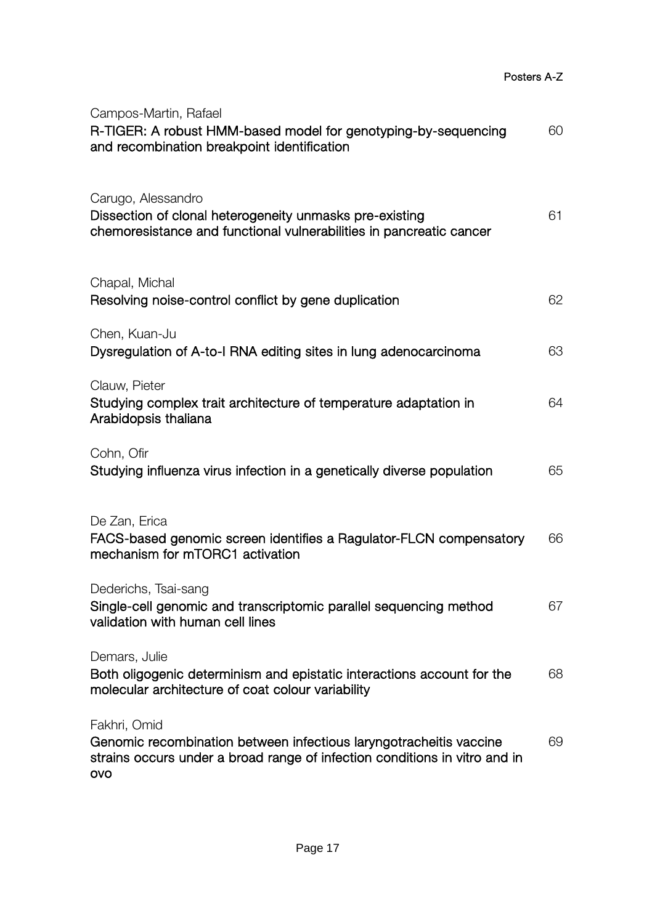| Campos-Martin, Rafael<br>R-TIGER: A robust HMM-based model for genotyping-by-sequencing<br>and recombination breakpoint identification                                  | 60 |
|-------------------------------------------------------------------------------------------------------------------------------------------------------------------------|----|
| Carugo, Alessandro<br>Dissection of clonal heterogeneity unmasks pre-existing<br>chemoresistance and functional vulnerabilities in pancreatic cancer                    | 61 |
| Chapal, Michal<br>Resolving noise-control conflict by gene duplication                                                                                                  | 62 |
| Chen, Kuan-Ju<br>Dysregulation of A-to-I RNA editing sites in lung adenocarcinoma                                                                                       | 63 |
| Clauw, Pieter<br>Studying complex trait architecture of temperature adaptation in<br>Arabidopsis thaliana                                                               | 64 |
| Cohn, Ofir<br>Studying influenza virus infection in a genetically diverse population                                                                                    | 65 |
| De Zan, Erica<br>FACS-based genomic screen identifies a Ragulator-FLCN compensatory<br>mechanism for mTORC1 activation                                                  | 66 |
| Dederichs, Tsai-sang<br>Single-cell genomic and transcriptomic parallel sequencing method<br>validation with human cell lines                                           | 67 |
| Demars, Julie<br>Both oligogenic determinism and epistatic interactions account for the<br>molecular architecture of coat colour variability                            | 68 |
| Fakhri, Omid<br>Genomic recombination between infectious laryngotracheitis vaccine<br>strains occurs under a broad range of infection conditions in vitro and in<br>ovo | 69 |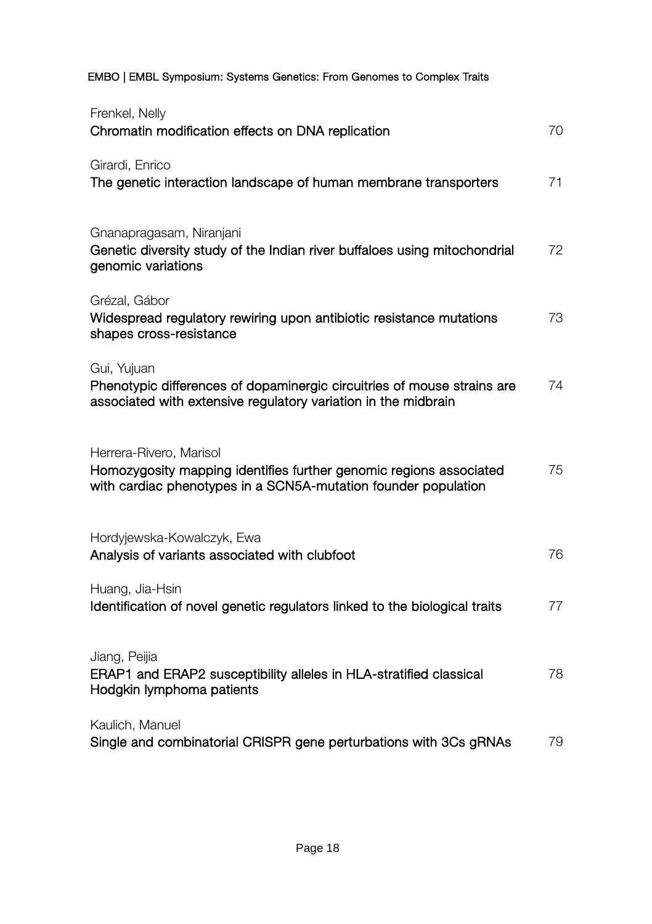EMBO | EMBL Symposium: Systems Genetics: From Genomes to Complex Traits

| Frenkel, Nelly<br>Chromatin modification effects on DNA replication                                                                                             | 70 |
|-----------------------------------------------------------------------------------------------------------------------------------------------------------------|----|
| Girardi, Enrico<br>The genetic interaction landscape of human membrane transporters                                                                             | 71 |
| Gnanapragasam, Niranjani<br>Genetic diversity study of the Indian river buffaloes using mitochondrial<br>genomic variations                                     | 72 |
| Grézal, Gábor<br>Widespread regulatory rewiring upon antibiotic resistance mutations<br>shapes cross-resistance                                                 | 73 |
| Gui, Yujuan<br>Phenotypic differences of dopaminergic circuitries of mouse strains are<br>associated with extensive regulatory variation in the midbrain        | 74 |
| Herrera-Rivero, Marisol<br>Homozygosity mapping identifies further genomic regions associated<br>with cardiac phenotypes in a SCN5A-mutation founder population | 75 |
| Hordyjewska-Kowalczyk, Ewa<br>Analysis of variants associated with clubfoot                                                                                     | 76 |
| Huang, Jia-Hsin<br>Identification of novel genetic regulators linked to the biological traits                                                                   | 77 |
| Jiang, Peijia<br>ERAP1 and ERAP2 susceptibility alleles in HLA-stratified classical<br>Hodgkin lymphoma patients                                                | 78 |
| Kaulich, Manuel<br>Single and combinatorial CRISPR gene perturbations with 3Cs gRNAs                                                                            | 79 |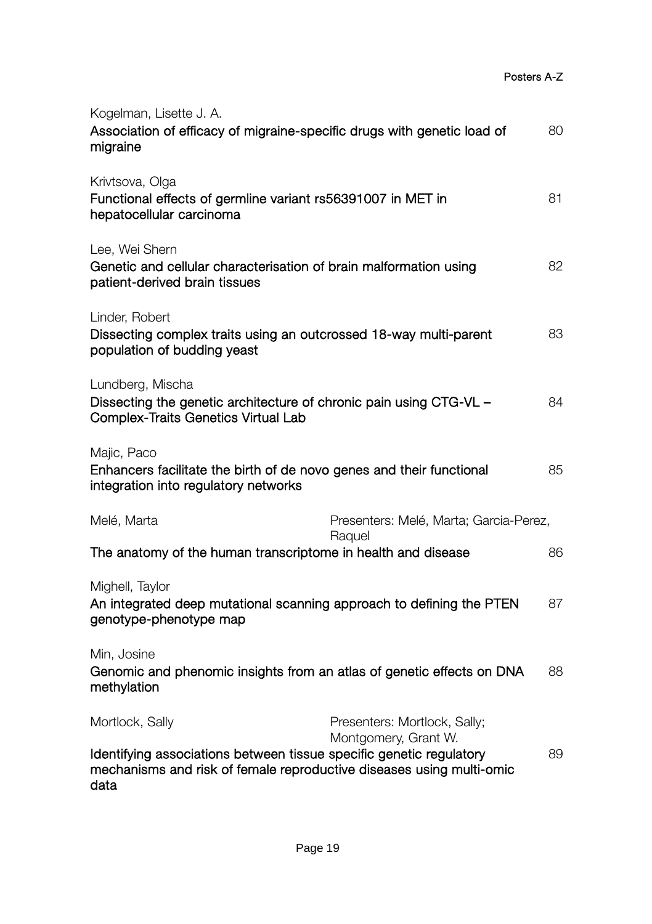| Kogelman, Lisette J. A.<br>Association of efficacy of migraine-specific drugs with genetic load of<br>migraine                                                         |                                                      | 80 |
|------------------------------------------------------------------------------------------------------------------------------------------------------------------------|------------------------------------------------------|----|
| Krivtsova, Olga<br>Functional effects of germline variant rs56391007 in MET in<br>hepatocellular carcinoma                                                             |                                                      | 81 |
| Lee, Wei Shern<br>Genetic and cellular characterisation of brain malformation using<br>patient-derived brain tissues                                                   |                                                      | 82 |
| Linder, Robert<br>Dissecting complex traits using an outcrossed 18-way multi-parent<br>population of budding yeast                                                     |                                                      | 83 |
| Lundberg, Mischa<br>Dissecting the genetic architecture of chronic pain using CTG-VL -<br>Complex-Traits Genetics Virtual Lab                                          |                                                      | 84 |
| Majic, Paco<br>Enhancers facilitate the birth of de novo genes and their functional<br>integration into regulatory networks                                            |                                                      | 85 |
| Melé, Marta                                                                                                                                                            | Presenters: Melé, Marta; Garcia-Perez,               |    |
| The anatomy of the human transcriptome in health and disease                                                                                                           | Raquel                                               | 86 |
| Mighell, Taylor<br>An integrated deep mutational scanning approach to defining the PTEN<br>genotype-phenotype map                                                      |                                                      | 87 |
| Min, Josine<br>Genomic and phenomic insights from an atlas of genetic effects on DNA<br>methylation                                                                    |                                                      | 88 |
| Mortlock, Sally<br>Identifying associations between tissue specific genetic regulatory<br>mechanisms and risk of female reproductive diseases using multi-omic<br>data | Presenters: Mortlock, Sally;<br>Montgomery, Grant W. | 89 |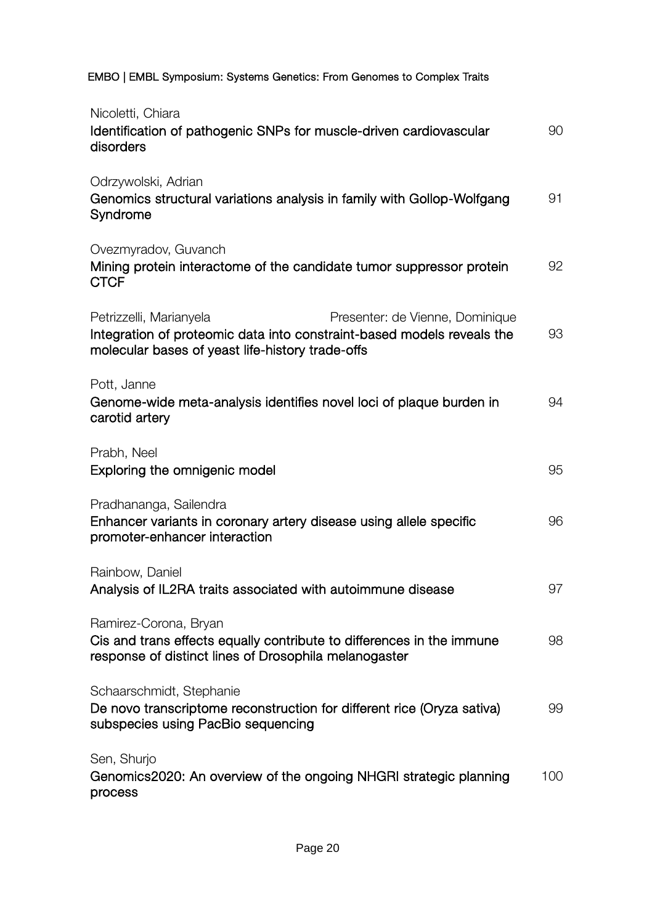| EMBO   EMBL Symposium: Systems Genetics: From Genomes to Complex Traits                                                                                                                  |     |
|------------------------------------------------------------------------------------------------------------------------------------------------------------------------------------------|-----|
| Nicoletti, Chiara<br>Identification of pathogenic SNPs for muscle-driven cardiovascular<br>disorders                                                                                     | 90  |
| Odrzywolski, Adrian<br>Genomics structural variations analysis in family with Gollop-Wolfgang<br>Syndrome                                                                                | 91  |
| Ovezmyradov, Guvanch<br>Mining protein interactome of the candidate tumor suppressor protein<br><b>CTCF</b>                                                                              | 92  |
| Petrizzelli, Marianyela<br>Presenter: de Vienne, Dominique<br>Integration of proteomic data into constraint-based models reveals the<br>molecular bases of yeast life-history trade-offs | 93  |
| Pott, Janne<br>Genome-wide meta-analysis identifies novel loci of plaque burden in<br>carotid artery                                                                                     | 94  |
| Prabh, Neel<br>Exploring the omnigenic model                                                                                                                                             | 95  |
| Pradhananga, Sailendra<br>Enhancer variants in coronary artery disease using allele specific<br>promoter-enhancer interaction                                                            | 96  |
| Rainbow, Daniel<br>Analysis of IL2RA traits associated with autoimmune disease                                                                                                           | 97  |
| Ramirez-Corona, Bryan<br>Cis and trans effects equally contribute to differences in the immune<br>response of distinct lines of Drosophila melanogaster                                  | 98  |
| Schaarschmidt, Stephanie<br>De novo transcriptome reconstruction for different rice (Oryza sativa)<br>subspecies using PacBio sequencing                                                 | 99  |
| Sen, Shurjo<br>Genomics2020: An overview of the ongoing NHGRI strategic planning<br>process                                                                                              | 100 |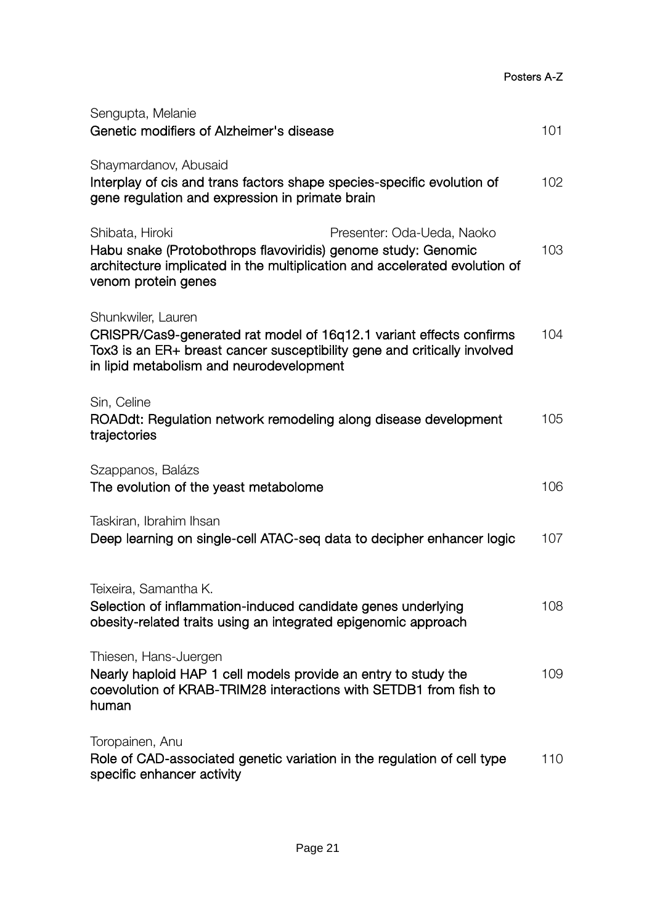| Posters A-Z |
|-------------|
|-------------|

| Sengupta, Melanie<br>Genetic modifiers of Alzheimer's disease                                                                                                                                                       | 101 |
|---------------------------------------------------------------------------------------------------------------------------------------------------------------------------------------------------------------------|-----|
| Shaymardanov, Abusaid<br>Interplay of cis and trans factors shape species-specific evolution of<br>gene regulation and expression in primate brain                                                                  | 102 |
| Presenter: Oda-Ueda, Naoko<br>Shibata, Hiroki<br>Habu snake (Protobothrops flavoviridis) genome study: Genomic<br>architecture implicated in the multiplication and accelerated evolution of<br>venom protein genes | 103 |
| Shunkwiler, Lauren<br>CRISPR/Cas9-generated rat model of 16q12.1 variant effects confirms<br>Tox3 is an ER+ breast cancer susceptibility gene and critically involved<br>in lipid metabolism and neurodevelopment   | 104 |
| Sin, Celine<br>ROADdt: Regulation network remodeling along disease development<br>trajectories                                                                                                                      | 105 |
| Szappanos, Balázs<br>The evolution of the yeast metabolome                                                                                                                                                          | 106 |
| Taskiran, Ibrahim Ihsan<br>Deep learning on single-cell ATAC-seq data to decipher enhancer logic                                                                                                                    | 107 |
| Teixeira, Samantha K.<br>Selection of inflammation-induced candidate genes underlying<br>obesity-related traits using an integrated epigenomic approach                                                             | 108 |
| Thiesen, Hans-Juergen<br>Nearly haploid HAP 1 cell models provide an entry to study the<br>coevolution of KRAB-TRIM28 interactions with SETDB1 from fish to<br>human                                                | 109 |
| Toropainen, Anu<br>Role of CAD-associated genetic variation in the regulation of cell type<br>specific enhancer activity                                                                                            | 110 |